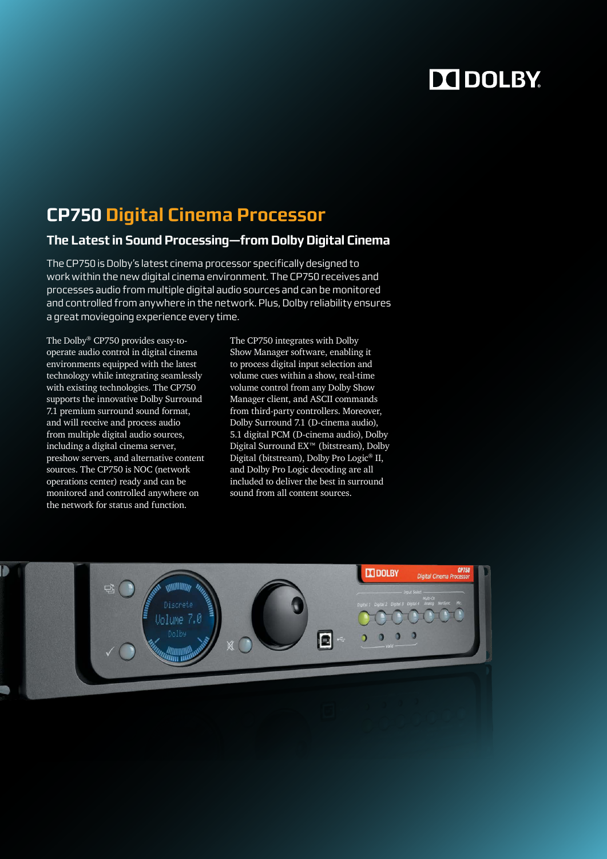# DO DOLBY.

# **CP750 Digital Cinema Processor**

## **The Latest in Sound Processing—from Dolby Digital Cinema**

The CP750 is Dolby's latest cinema processor specifically designed to work within the new digital cinema environment. The CP750 receives and processes audio from multiple digital audio sources and can be monitored and controlled from anywhere in the network. Plus, Dolby reliability ensures a great moviegoing experience every time.

The Dolby® CP750 provides easy-tooperate audio control in digital cinema environments equipped with the latest technology while integrating seamlessly with existing technologies. The CP750 supports the innovative Dolby Surround 7.1 premium surround sound format, and will receive and process audio from multiple digital audio sources, including a digital cinema server, preshow servers, and alternative content sources. The CP750 is NOC (network operations center) ready and can be monitored and controlled anywhere on the network for status and function.

The CP750 integrates with Dolby Show Manager software, enabling it to process digital input selection and volume cues within a show, real-time volume control from any Dolby Show Manager client, and ASCII commands from third-party controllers. Moreover, Dolby Surround 7.1 (D-cinema audio), 5.1 digital PCM (D-cinema audio), Dolby Digital Surround EX™ (bitstream), Dolby Digital (bitstream), Dolby Pro Logic® II, and Dolby Pro Logic decoding are all included to deliver the best in surround sound from all content sources.